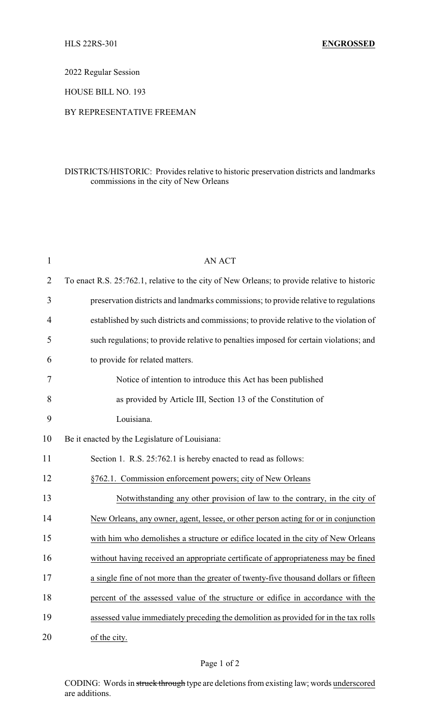2022 Regular Session

HOUSE BILL NO. 193

## BY REPRESENTATIVE FREEMAN

## DISTRICTS/HISTORIC: Provides relative to historic preservation districts and landmarks commissions in the city of New Orleans

| $\mathbf{1}$ | <b>AN ACT</b>                                                                                |
|--------------|----------------------------------------------------------------------------------------------|
| 2            | To enact R.S. 25:762.1, relative to the city of New Orleans; to provide relative to historic |
| 3            | preservation districts and landmarks commissions; to provide relative to regulations         |
| 4            | established by such districts and commissions; to provide relative to the violation of       |
| 5            | such regulations; to provide relative to penalties imposed for certain violations; and       |
| 6            | to provide for related matters.                                                              |
| 7            | Notice of intention to introduce this Act has been published                                 |
| 8            | as provided by Article III, Section 13 of the Constitution of                                |
| 9            | Louisiana.                                                                                   |
| 10           | Be it enacted by the Legislature of Louisiana:                                               |
| 11           | Section 1. R.S. 25:762.1 is hereby enacted to read as follows:                               |
| 12           | §762.1. Commission enforcement powers; city of New Orleans                                   |
| 13           | Notwithstanding any other provision of law to the contrary, in the city of                   |
| 14           | New Orleans, any owner, agent, lessee, or other person acting for or in conjunction          |
| 15           | with him who demolishes a structure or edifice located in the city of New Orleans            |
| 16           | without having received an appropriate certificate of appropriateness may be fined           |
| 17           | a single fine of not more than the greater of twenty-five thousand dollars or fifteen        |
| 18           | percent of the assessed value of the structure or edifice in accordance with the             |
| 19           | assessed value immediately preceding the demolition as provided for in the tax rolls         |
| 20           | of the city.                                                                                 |

## Page 1 of 2

CODING: Words in struck through type are deletions from existing law; words underscored are additions.